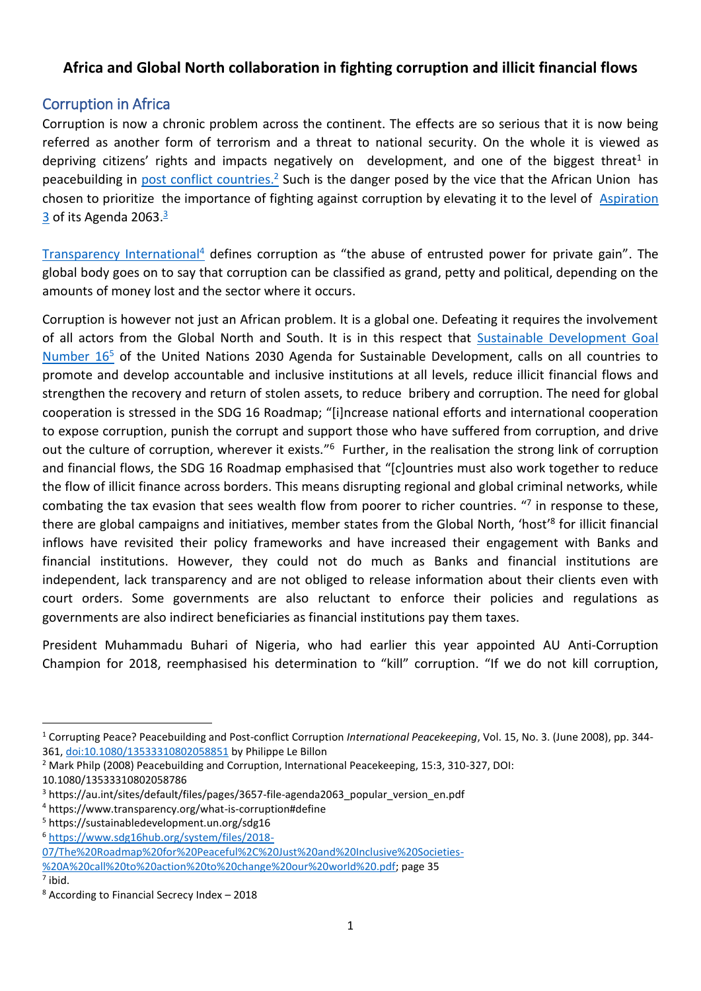## **Africa and Global North collaboration in fighting corruption and illicit financial flows**

#### Corruption in Africa

Corruption is now a chronic problem across the continent. The effects are so serious that it is now being referred as another form of terrorism and a threat to national security. On the whole it is viewed as depriving citizens' rights and impacts negatively on development, and one of the biggest threat<sup>1</sup> in peacebuilding in **post conflict countries.**<sup>2</sup> Such is the danger posed by the vice that the African Union has chosen to prioritize the importance of fighting against corruption by elevating it to the level of [Aspiration](https://au.int/sites/default/files/pages/3657-file-agenda2063_popular_version_en.pdf)  <u>[3](https://au.int/sites/default/files/pages/3657-file-agenda2063_popular_version_en.pdf)</u> of its Agenda 2063.<sup>3</sup>

[Transparency International](https://www.transparency.org/what-is-corruption#define)<sup>4</sup> defines corruption as "the abuse of entrusted power for private gain". The global body goes on to say that corruption can be classified as grand, petty and political, depending on the amounts of money lost and the sector where it occurs.

Corruption is however not just an African problem. It is a global one. Defeating it requires the involvement of all actors from the Global North and South. It is in this respect that [Sustainable Development Goal](https://sustainabledevelopment.un.org/sdg16)  [Number 16](https://sustainabledevelopment.un.org/sdg16)<sup>5</sup> of the United Nations 2030 Agenda for Sustainable Development, calls on all countries to promote and develop accountable and inclusive institutions at all levels, reduce illicit financial flows and strengthen the recovery and return of stolen assets, to reduce bribery and corruption. The need for global cooperation is stressed in the SDG 16 Roadmap; "[i]ncrease national efforts and international cooperation to expose corruption, punish the corrupt and support those who have suffered from corruption, and drive out the culture of corruption, wherever it exists."<sup>6</sup> Further, in the realisation the strong link of corruption and financial flows, the SDG 16 Roadmap emphasised that "[c]ountries must also work together to reduce the flow of illicit finance across borders. This means disrupting regional and global criminal networks, while combating the tax evasion that sees wealth flow from poorer to richer countries. "<sup>7</sup> in response to these, there are global campaigns and initiatives, member states from the Global North, 'host'<sup>8</sup> for illicit financial inflows have revisited their policy frameworks and have increased their engagement with Banks and financial institutions. However, they could not do much as Banks and financial institutions are independent, lack transparency and are not obliged to release information about their clients even with court orders. Some governments are also reluctant to enforce their policies and regulations as governments are also indirect beneficiaries as financial institutions pay them taxes.

President Muhammadu Buhari of Nigeria, who had earlier this year appointed AU Anti-Corruption Champion for 2018, reemphasised his determination to "kill" corruption. "If we do not kill corruption,

 $<sup>7</sup>$  ibid.</sup>

**.** 

<sup>1</sup> Corrupting Peace? Peacebuilding and Post-conflict Corruption *International Peacekeeping*, Vol. 15, No. 3. (June 2008), pp. 344- 361, [doi:10.1080/13533310802058851](http://dx.doi.org/10.1080/13533310802058851) by Philippe Le Billon

<sup>2</sup> Mark Philp (2008) Peacebuilding and Corruption, International Peacekeeping, 15:3, 310-327, DOI:

<sup>10.1080/13533310802058786</sup>

<sup>3</sup> https://au.int/sites/default/files/pages/3657-file-agenda2063\_popular\_version\_en.pdf

<sup>4</sup> https://www.transparency.org/what-is-corruption#define

<sup>5</sup> https://sustainabledevelopment.un.org/sdg16

<sup>6</sup> [https://www.sdg16hub.org/system/files/2018-](https://www.sdg16hub.org/system/files/2018-07/The%20Roadmap%20for%20Peaceful%2C%20Just%20and%20Inclusive%20Societies-%20A%20call%20to%20action%20to%20change%20our%20world%20.pdf)

[<sup>07/</sup>The%20Roadmap%20for%20Peaceful%2C%20Just%20and%20Inclusive%20Societies-](https://www.sdg16hub.org/system/files/2018-07/The%20Roadmap%20for%20Peaceful%2C%20Just%20and%20Inclusive%20Societies-%20A%20call%20to%20action%20to%20change%20our%20world%20.pdf) [%20A%20call%20to%20action%20to%20change%20our%20world%20.pdf;](https://www.sdg16hub.org/system/files/2018-07/The%20Roadmap%20for%20Peaceful%2C%20Just%20and%20Inclusive%20Societies-%20A%20call%20to%20action%20to%20change%20our%20world%20.pdf) page 35

<sup>8</sup> According to Financial Secrecy Index – 2018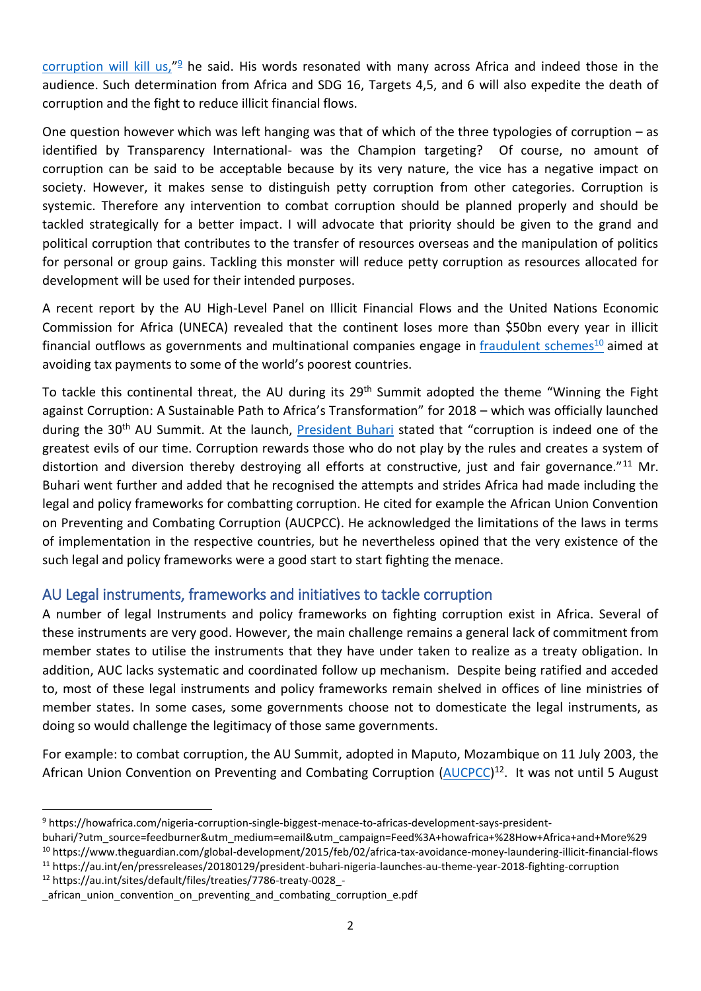[corruption will kill us,](https://howafrica.com/nigeria-corruption-single-biggest-menace-to-africas-development-says-president-buhari/?utm_source=feedburner&utm_medium=email&utm_campaign=Feed%3A+howafrica+%28How+Africa+and+More%29)"<sup>9</sup> he said. His words resonated with many across Africa and indeed those in the audience. Such determination from Africa and SDG 16, Targets 4,5, and 6 will also expedite the death of corruption and the fight to reduce illicit financial flows.

One question however which was left hanging was that of which of the three typologies of corruption – as identified by Transparency International- was the Champion targeting? Of course, no amount of corruption can be said to be acceptable because by its very nature, the vice has a negative impact on society. However, it makes sense to distinguish petty corruption from other categories. Corruption is systemic. Therefore any intervention to combat corruption should be planned properly and should be tackled strategically for a better impact. I will advocate that priority should be given to the grand and political corruption that contributes to the transfer of resources overseas and the manipulation of politics for personal or group gains. Tackling this monster will reduce petty corruption as resources allocated for development will be used for their intended purposes.

A recent report by the AU High-Level Panel on Illicit Financial Flows and the United Nations Economic Commission for Africa (UNECA) revealed that the continent loses more than \$50bn every year in illicit financial outflows as governments and multinational companies engage in [fraudulent schemes](https://www.theguardian.com/global-development/2015/feb/02/africa-tax-avoidance-money-laundering-illicit-financial-flows)<sup>10</sup> aimed at avoiding tax payments to some of the world's poorest countries.

To tackle this continental threat, the AU during its 29<sup>th</sup> Summit adopted the theme "Winning the Fight against Corruption: A Sustainable Path to Africa's Transformation" for 2018 – which was officially launched during the 30<sup>th</sup> AU Summit. At the launch, [President Buhari](https://au.int/en/pressreleases/20180129/president-buhari-nigeria-launches-au-theme-year-2018-fighting-corruption) stated that "corruption is indeed one of the greatest evils of our time. Corruption rewards those who do not play by the rules and creates a system of distortion and diversion thereby destroying all efforts at constructive, just and fair governance."<sup>11</sup> Mr. Buhari went further and added that he recognised the attempts and strides Africa had made including the legal and policy frameworks for combatting corruption. He cited for example the African Union Convention on Preventing and Combating Corruption (AUCPCC). He acknowledged the limitations of the laws in terms of implementation in the respective countries, but he nevertheless opined that the very existence of the such legal and policy frameworks were a good start to start fighting the menace.

# AU Legal instruments, frameworks and initiatives to tackle corruption

A number of legal Instruments and policy frameworks on fighting corruption exist in Africa. Several of these instruments are very good. However, the main challenge remains a general lack of commitment from member states to utilise the instruments that they have under taken to realize as a treaty obligation. In addition, AUC lacks systematic and coordinated follow up mechanism. Despite being ratified and acceded to, most of these legal instruments and policy frameworks remain shelved in offices of line ministries of member states. In some cases, some governments choose not to domesticate the legal instruments, as doing so would challenge the legitimacy of those same governments.

For example: to combat corruption, the AU Summit, adopted in Maputo, Mozambique on 11 July 2003, the African Union Convention on Preventing and Combating Corruption [\(AUCPCC\)](https://au.int/sites/default/files/treaties/7786-treaty-0028_-_african_union_convention_on_preventing_and_combating_corruption_e.pdf)<sup>12</sup>. It was not until 5 August

<sup>10</sup> https://www.theguardian.com/global-development/2015/feb/02/africa-tax-avoidance-money-laundering-illicit-financial-flows

<sup>11</sup> https://au.int/en/pressreleases/20180129/president-buhari-nigeria-launches-au-theme-year-2018-fighting-corruption

<sup>12</sup> https://au.int/sites/default/files/treaties/7786-treaty-0028\_-

 $\overline{a}$ <sup>9</sup> https://howafrica.com/nigeria-corruption-single-biggest-menace-to-africas-development-says-president-

buhari/?utm\_source=feedburner&utm\_medium=email&utm\_campaign=Feed%3A+howafrica+%28How+Africa+and+More%29

african union convention on preventing and combating corruption e.pdf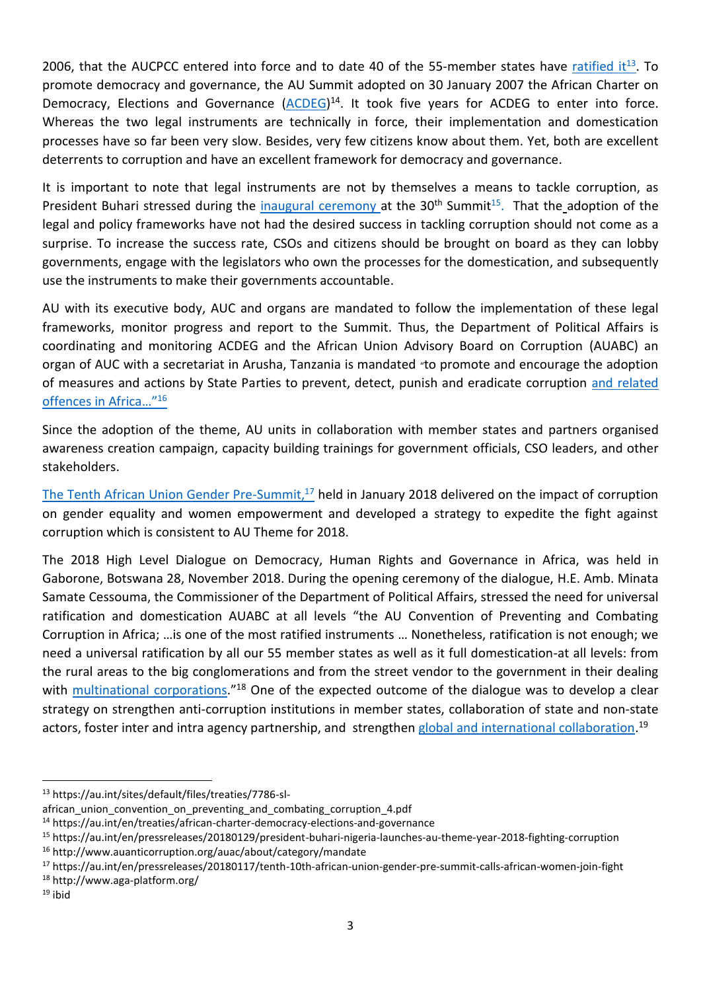2006, that the AUCPCC entered into force and to date 40 of the 55-member states have [ratified it](https://au.int/sites/default/files/treaties/7786-sl-african_union_convention_on_preventing_and_combating_corruption_4.pdf)<sup>13</sup>. To promote democracy and governance, the AU Summit adopted on 30 January 2007 the African Charter on Democracy, Elections and Governance [\(ACDEG\)](https://au.int/en/treaties/african-charter-democracy-elections-and-governance)<sup>14</sup>. It took five years for ACDEG to enter into force. Whereas the two legal instruments are technically in force, their implementation and domestication processes have so far been very slow. Besides, very few citizens know about them. Yet, both are excellent deterrents to corruption and have an excellent framework for democracy and governance.

It is important to note that legal instruments are not by themselves a means to tackle corruption, as President Buhari stressed during the *inaugural ceremony* at the 30<sup>th</sup> Summit<sup>15</sup>. That the adoption of the legal and policy frameworks have not had the desired success in tackling corruption should not come as a surprise. To increase the success rate, CSOs and citizens should be brought on board as they can lobby governments, engage with the legislators who own the processes for the domestication, and subsequently use the instruments to make their governments accountable.

AU with its executive body, AUC and organs are mandated to follow the implementation of these legal frameworks, monitor progress and report to the Summit. Thus, the Department of Political Affairs is coordinating and monitoring ACDEG and the African Union Advisory Board on Corruption (AUABC) an organ of AUC with a secretariat in Arusha, Tanzania is mandated "to promote and encourage the adoption of measures and actions by State Parties to prevent, detect, punish and eradicate corruption [and related](http://www.auanticorruption.org/auac/about/category/mandate)  [offences in Africa](http://www.auanticorruption.org/auac/about/category/mandate)…" 16

Since the adoption of the theme, AU units in collaboration with member states and partners organised awareness creation campaign, capacity building trainings for government officials, CSO leaders, and other stakeholders.

[The Tenth African Union Gender Pre-Summit,](https://au.int/en/pressreleases/20180117/tenth-10th-african-union-gender-pre-summit-calls-african-women-join-fight)<sup>17</sup> held in January 2018 delivered on the impact of corruption on gender equality and women empowerment and developed a strategy to expedite the fight against corruption which is consistent to AU Theme for 2018.

The 2018 High Level Dialogue on Democracy, Human Rights and Governance in Africa, was held in Gaborone, Botswana 28, November 2018. During the opening ceremony of the dialogue, H.E. Amb. Minata Samate Cessouma, the Commissioner of the Department of Political Affairs, stressed the need for universal ratification and domestication AUABC at all levels "the AU Convention of Preventing and Combating Corruption in Africa; …is one of the most ratified instruments … Nonetheless, ratification is not enough; we need a universal ratification by all our 55 member states as well as it full domestication-at all levels: from the rural areas to the big conglomerations and from the street vendor to the government in their dealing with **multinational corporations.**"<sup>18</sup> One of the expected outcome of the dialogue was to develop a clear strategy on strengthen anti-corruption institutions in member states, collaboration of state and non-state actors, foster inter and intra agency partnership, and strengthen [global and international collaboration.](file:///C:/Users/labeb/AppData/Local/Packages/Microsoft.MicrosoftEdge_8wekyb3d8bbwe/TempState/Downloads/DPA%20COMM.%20DRAFT%20REMARKS%20HLD-%20Gaborone_0.pdf)<sup>19</sup>

1

<sup>13</sup> https://au.int/sites/default/files/treaties/7786-sl-

african\_union\_convention\_on\_preventing\_and\_combating\_corruption\_4.pdf

<sup>14</sup> https://au.int/en/treaties/african-charter-democracy-elections-and-governance

<sup>15</sup> https://au.int/en/pressreleases/20180129/president-buhari-nigeria-launches-au-theme-year-2018-fighting-corruption

<sup>16</sup> http://www.auanticorruption.org/auac/about/category/mandate

<sup>17</sup> https://au.int/en/pressreleases/20180117/tenth-10th-african-union-gender-pre-summit-calls-african-women-join-fight

<sup>18</sup> http://www.aga-platform.org/

 $19$  ibid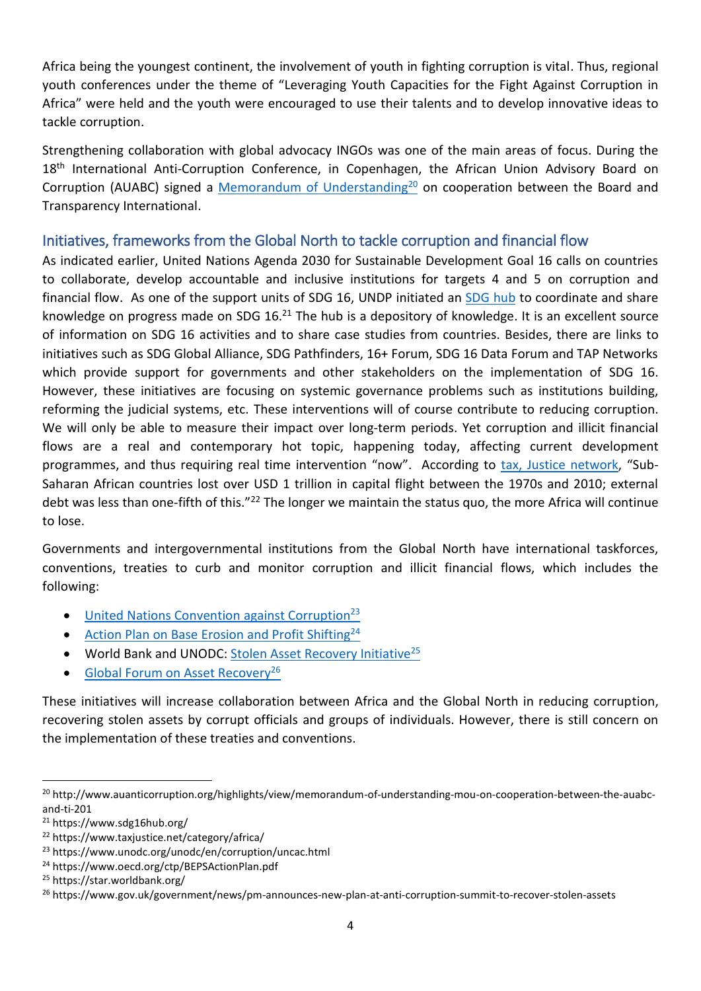Africa being the youngest continent, the involvement of youth in fighting corruption is vital. Thus, regional youth conferences under the theme of "Leveraging Youth Capacities for the Fight Against Corruption in Africa" were held and the youth were encouraged to use their talents and to develop innovative ideas to tackle corruption.

Strengthening collaboration with global advocacy INGOs was one of the main areas of focus. During the 18<sup>th</sup> International Anti-Corruption Conference, in Copenhagen, the African Union Advisory Board on Corruption (AUABC) signed a [Memorandum of Understanding](http://www.auanticorruption.org/highlights/view/memorandum-of-understanding-mou-on-cooperation-between-the-auabc-and-ti-201)<sup>20</sup> on cooperation between the Board and Transparency International.

## Initiatives, frameworks from the Global North to tackle corruption and financial flow

As indicated earlier, United Nations Agenda 2030 for Sustainable Development Goal 16 calls on countries to collaborate, develop accountable and inclusive institutions for targets 4 and 5 on corruption and financial flow. As one of the support units of SDG 16, UNDP initiated an [SDG hub](https://www.sdg16hub.org/) to coordinate and share knowledge on progress made on SDG 16.<sup>21</sup> The hub is a depository of knowledge. It is an excellent source of information on SDG 16 activities and to share case studies from countries. Besides, there are links to initiatives such as SDG Global Alliance, SDG Pathfinders, 16+ Forum, SDG 16 Data Forum and TAP Networks which provide support for governments and other stakeholders on the implementation of SDG 16. However, these initiatives are focusing on systemic governance problems such as institutions building, reforming the judicial systems, etc. These interventions will of course contribute to reducing corruption. We will only be able to measure their impact over long-term periods. Yet corruption and illicit financial flows are a real and contemporary hot topic, happening today, affecting current development programmes, and thus requiring real time intervention "now". According to [tax, Justice network](https://www.taxjustice.net/category/africa/), "Sub-Saharan African countries lost over USD 1 trillion in capital flight between the 1970s and 2010; external debt was less than one-fifth of this."<sup>22</sup> The longer we maintain the status quo, the more Africa will continue to lose.

Governments and intergovernmental institutions from the Global North have international taskforces, conventions, treaties to curb and monitor corruption and illicit financial flows, which includes the following:

- $\bullet$  [United Nations Convention against Corruption](https://www.unodc.org/unodc/en/corruption/uncac.html)<sup>23</sup>
- [Action Plan on Base Erosion and Profit Shifting](https://www.oecd.org/ctp/BEPSActionPlan.pdf)<sup>24</sup>
- World Bank and UNODC: [Stolen Asset Recovery Initiative](https://star.worldbank.org/)<sup>25</sup>
- [Global Forum on Asset Recovery](https://www.gov.uk/government/news/pm-announces-new-plan-at-anti-corruption-summit-to-recover-stolen-assets)<sup>26</sup>

These initiatives will increase collaboration between Africa and the Global North in reducing corruption, recovering stolen assets by corrupt officials and groups of individuals. However, there is still concern on the implementation of these treaties and conventions.

1

<sup>&</sup>lt;sup>20</sup> http://www.auanticorruption.org/highlights/view/memorandum-of-understanding-mou-on-cooperation-between-the-auabcand-ti-201

<sup>21</sup> https://www.sdg16hub.org/

<sup>22</sup> https://www.taxjustice.net/category/africa/

<sup>23</sup> https://www.unodc.org/unodc/en/corruption/uncac.html

<sup>24</sup> https://www.oecd.org/ctp/BEPSActionPlan.pdf

<sup>25</sup> https://star.worldbank.org/

<sup>26</sup> https://www.gov.uk/government/news/pm-announces-new-plan-at-anti-corruption-summit-to-recover-stolen-assets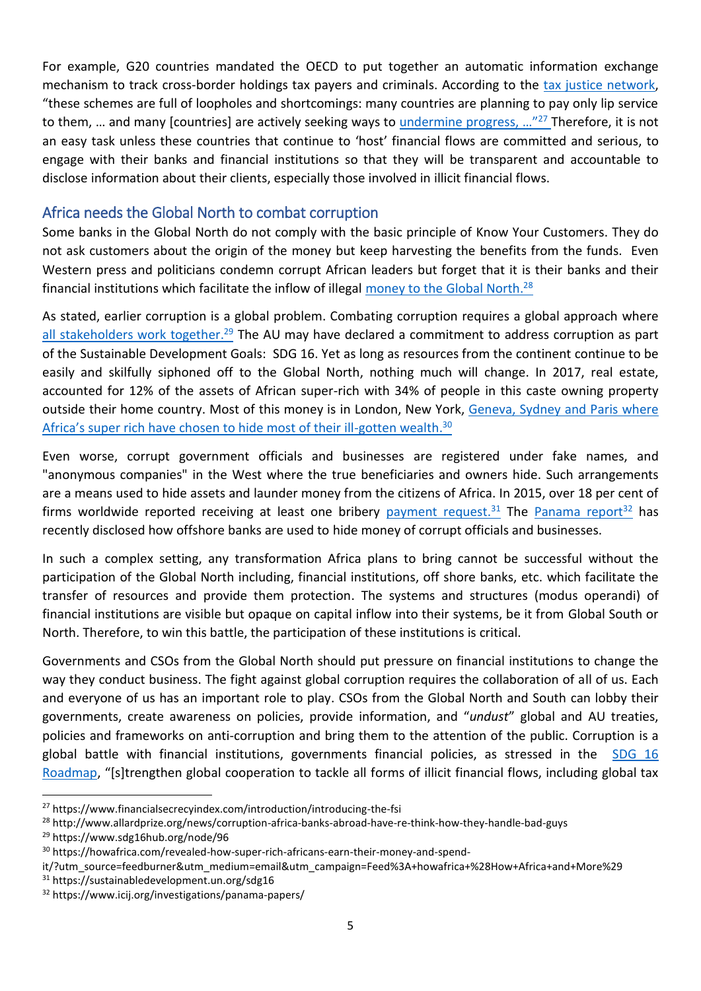For example, G20 countries mandated the OECD to put together an automatic information exchange mechanism to track cross-border holdings tax payers and criminals. According to the [tax justice network,](https://www.financialsecrecyindex.com/introduction/introducing-the-fsi) "these schemes are full of loopholes and shortcomings: many countries are planning to pay only lip service to them, ... and many [countries] are actively seeking ways to [undermine progress,](https://www.financialsecrecyindex.com/introduction/introducing-the-fsi) ...<sup>"27</sup> Therefore, it is not an easy task unless these countries that continue to 'host' financial flows are committed and serious, to engage with their banks and financial institutions so that they will be transparent and accountable to disclose information about their clients, especially those involved in illicit financial flows.

## Africa needs the Global North to combat corruption

Some banks in the Global North do not comply with the basic principle of Know Your Customers. They do not ask customers about the origin of the money but keep harvesting the benefits from the funds. Even Western press and politicians condemn corrupt African leaders but forget that it is their banks and their financial institutions which facilitate the inflow of illegal [money to the](http://www.allardprize.org/news/corruption-africa-banks-abroad-have-re-think-how-they-handle-bad-guys) Global North.<sup>28</sup>

As stated, earlier corruption is a global problem. Combating corruption requires a global approach where [all stakeholders work](https://www.sdg16hub.org/node/96) together.<sup>29</sup> The AU may have declared a commitment to address corruption as part of the Sustainable Development Goals: SDG 16. Yet as long as resources from the continent continue to be easily and skilfully siphoned off to the Global North, nothing much will change. In 2017, real estate, accounted for 12% of the assets of African super-rich with 34% of people in this caste owning property outside their home country. Most of this money is in London, New York, [Geneva, Sydney and Paris](https://howafrica.com/revealed-how-super-rich-africans-earn-their-money-and-spend-it/?utm_source=feedburner&utm_medium=email&utm_campaign=Feed%3A+howafrica+%28How+Africa+and+More%29) where Africa's super rich have chosen to hide most of their ill-gotten wealth.<sup>30</sup>

Even worse, corrupt government officials and businesses are registered under fake names, and "anonymous companies" in the West where the true beneficiaries and owners hide. Such arrangements are a means used to hide assets and launder money from the citizens of Africa. In 2015, over 18 per cent of firms worldwide reported receiving at least one bribery **[payment request.](https://sustainabledevelopment.un.org/sdg16)**<sup>31</sup> The [Panama report](https://www.icij.org/investigations/panama-papers/)<sup>32</sup> has recently disclosed how offshore banks are used to hide money of corrupt officials and businesses.

In such a complex setting, any transformation Africa plans to bring cannot be successful without the participation of the Global North including, financial institutions, off shore banks, etc. which facilitate the transfer of resources and provide them protection. The systems and structures (modus operandi) of financial institutions are visible but opaque on capital inflow into their systems, be it from Global South or North. Therefore, to win this battle, the participation of these institutions is critical.

Governments and CSOs from the Global North should put pressure on financial institutions to change the way they conduct business. The fight against global corruption requires the collaboration of all of us. Each and everyone of us has an important role to play. CSOs from the Global North and South can lobby their governments, create awareness on policies, provide information, and "*undust*" global and AU treaties, policies and frameworks on anti-corruption and bring them to the attention of the public. Corruption is a global battle with financial institutions, governments financial policies, as stressed in the SDG 16 [Roadmap,](https://www.sdg16hub.org/system/files/2018-07/The%20Roadmap%20for%20Peaceful%2C%20Just%20and%20Inclusive%20Societies-%20A%20call%20to%20action%20to%20change%20our%20world%20.pdf) "[s]trengthen global cooperation to tackle all forms of illicit financial flows, including global tax

**.** 

<sup>27</sup> https://www.financialsecrecyindex.com/introduction/introducing-the-fsi

<sup>28</sup> http://www.allardprize.org/news/corruption-africa-banks-abroad-have-re-think-how-they-handle-bad-guys

<sup>29</sup> https://www.sdg16hub.org/node/96

<sup>30</sup> https://howafrica.com/revealed-how-super-rich-africans-earn-their-money-and-spend-

it/?utm\_source=feedburner&utm\_medium=email&utm\_campaign=Feed%3A+howafrica+%28How+Africa+and+More%29 <sup>31</sup> https://sustainabledevelopment.un.org/sdg16

<sup>32</sup> https://www.icij.org/investigations/panama-papers/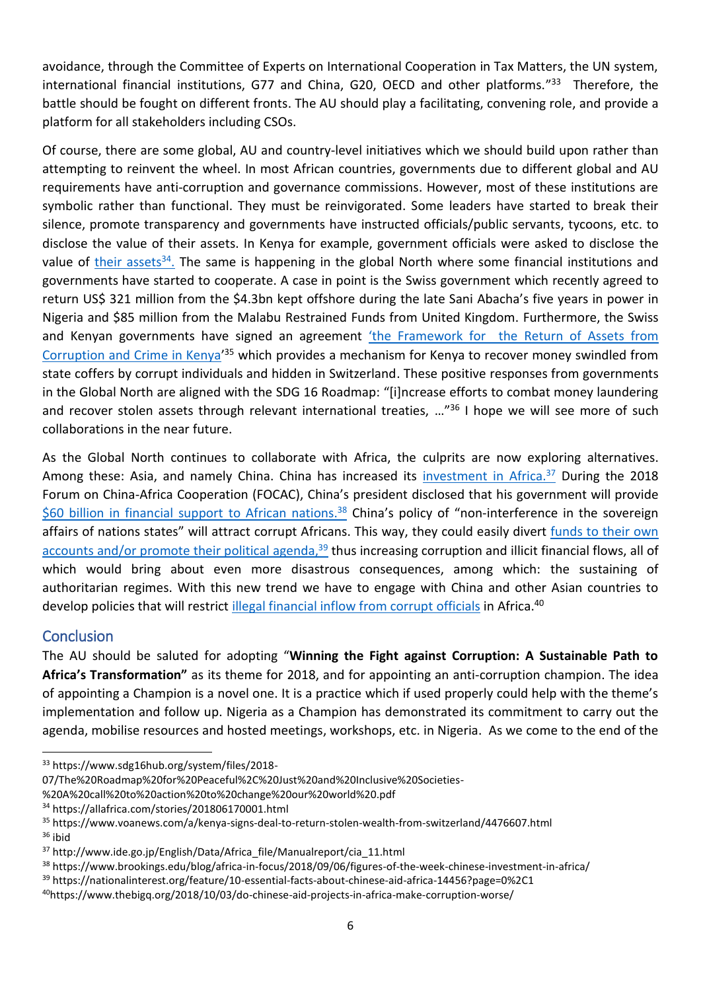avoidance, through the Committee of Experts on International Cooperation in Tax Matters, the UN system, international financial institutions, G77 and China, G20, OECD and other platforms."<sup>33</sup> Therefore, the battle should be fought on different fronts. The AU should play a facilitating, convening role, and provide a platform for all stakeholders including CSOs.

Of course, there are some global, AU and country-level initiatives which we should build upon rather than attempting to reinvent the wheel. In most African countries, governments due to different global and AU requirements have anti-corruption and governance commissions. However, most of these institutions are symbolic rather than functional. They must be reinvigorated. Some leaders have started to break their silence, promote transparency and governments have instructed officials/public servants, tycoons, etc. to disclose the value of their assets. In Kenya for example, government officials were asked to disclose the value of [their assets](http://allafrica.com/stories/201806170001.html)<sup>34</sup>. The same is happening in the global North where some financial institutions and governments have started to cooperate. A case in point is the Swiss government which recently agreed to return US\$ 321 million from the \$4.3bn kept offshore during the late Sani Abacha's five years in power in Nigeria and \$85 million from the Malabu Restrained Funds from United Kingdom. Furthermore, the Swiss and Kenyan governments have signed an agreement ['the Framework for](https://www.voanews.com/a/kenya-signs-deal-to-return-stolen-wealth-from-switzerland/4476607.html) the Return of Assets from [Corruption and Crime in Kenya](https://www.voanews.com/a/kenya-signs-deal-to-return-stolen-wealth-from-switzerland/4476607.html)'<sup>35</sup> which provides a mechanism for Kenya to recover money swindled from state coffers by corrupt individuals and hidden in Switzerland. These positive responses from governments in the Global North are aligned with the SDG 16 Roadmap: "[i]ncrease efforts to combat money laundering and recover stolen assets through relevant international treaties, ...<sup>"36</sup> I hope we will see more of such collaborations in the near future.

As the Global North continues to collaborate with Africa, the culprits are now exploring alternatives. Among these: Asia, and namely China. China has increased its **[investment in Africa.](http://www.ide.go.jp/English/Data/Africa_file/Manualreport/cia_11.html)<sup>37</sup> During the 2018** Forum on China-Africa Cooperation (FOCAC), China's president disclosed that his government will provide [\\$60 billion in financial support](https://www.brookings.edu/blog/africa-in-focus/2018/09/06/figures-of-the-week-chinese-investment-in-africa/) to African nations.<sup>38</sup> China's policy of "non-interference in the sovereign affairs of nations states" will attract corrupt Africans. This way, they could easily divert [funds to their own](https://nationalinterest.org/feature/10-essential-facts-about-chinese-aid-africa-14456?page=0%2C1) accounts [and/or promote their political](https://nationalinterest.org/feature/10-essential-facts-about-chinese-aid-africa-14456?page=0%2C1) agenda,<sup>39</sup> thus increasing corruption and illicit financial flows, all of which would bring about even more disastrous consequences, among which: the sustaining of authoritarian regimes. With this new trend we have to engage with China and other Asian countries to develop policies that will restrict [illegal financial inflow from corrupt officials](https://www.thebigq.org/2018/10/03/do-chinese-aid-projects-in-africa-make-corruption-worse/) in Africa.<sup>40</sup>

#### **Conclusion**

The AU should be saluted for adopting "**Winning the Fight against Corruption: A Sustainable Path to Africa's Transformation"** as its theme for 2018, and for appointing an anti-corruption champion. The idea of appointing a Champion is a novel one. It is a practice which if used properly could help with the theme's implementation and follow up. Nigeria as a Champion has demonstrated its commitment to carry out the agenda, mobilise resources and hosted meetings, workshops, etc. in Nigeria. As we come to the end of the

<sup>1</sup> <sup>33</sup> https://www.sdg16hub.org/system/files/2018-

<sup>07/</sup>The%20Roadmap%20for%20Peaceful%2C%20Just%20and%20Inclusive%20Societies-

<sup>%20</sup>A%20call%20to%20action%20to%20change%20our%20world%20.pdf

<sup>34</sup> https://allafrica.com/stories/201806170001.html

<sup>35</sup> https://www.voanews.com/a/kenya-signs-deal-to-return-stolen-wealth-from-switzerland/4476607.html

 $36$  ibid

<sup>37</sup> http://www.ide.go.jp/English/Data/Africa\_file/Manualreport/cia\_11.html

<sup>38</sup> https://www.brookings.edu/blog/africa-in-focus/2018/09/06/figures-of-the-week-chinese-investment-in-africa/

<sup>39</sup> https://nationalinterest.org/feature/10-essential-facts-about-chinese-aid-africa-14456?page=0%2C1

<sup>40</sup>https://www.thebigq.org/2018/10/03/do-chinese-aid-projects-in-africa-make-corruption-worse/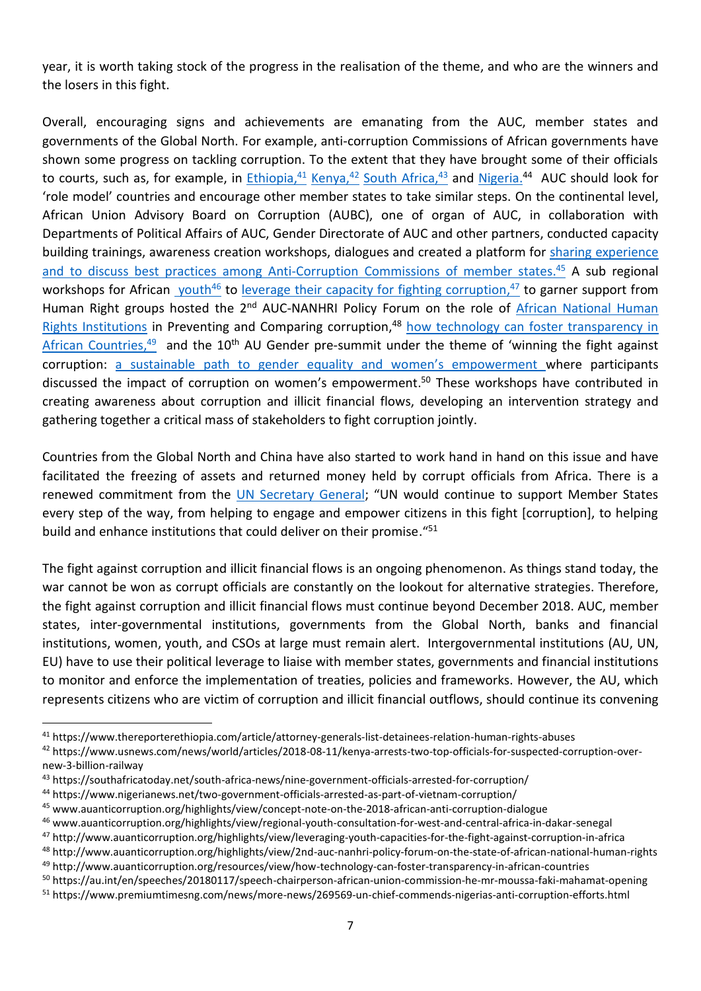year, it is worth taking stock of the progress in the realisation of the theme, and who are the winners and the losers in this fight.

Overall, encouraging signs and achievements are emanating from the AUC, member states and governments of the Global North. For example, anti-corruption Commissions of African governments have shown some progress on tackling corruption. To the extent that they have brought some of their officials to courts, such as, for example, in *Ethiopia*,<sup>41</sup> [Kenya,](https://www.usnews.com/news/world/articles/2018-08-11/kenya-arrests-two-top-officials-for-suspected-corruption-over-new-3-billion-railway)<sup>42</sup> [South Africa,](https://southafricatoday.net/south-africa-news/nine-government-officials-arrested-for-corruption/)<sup>43</sup> and [Nigeria.](https://www.nigerianews.net/two-government-officials-arrested-as-part-of-vietnam-corruption/)<sup>44</sup> AUC should look for 'role model' countries and encourage other member states to take similar steps. On the continental level, African Union Advisory Board on Corruption (AUBC), one of organ of AUC, in collaboration with Departments of Political Affairs of AUC, Gender Directorate of AUC and other partners, conducted capacity building trainings, awareness creation workshops, dialogues and created a platform for [sharing experience](http://www.auanticorruption.org/highlights/view/concept-note-on-the-2018-african-anti-corruption-dialogue) [and to discuss best practices among Anti-Corruption Commissions of member states.](http://www.auanticorruption.org/highlights/view/concept-note-on-the-2018-african-anti-corruption-dialogue)<sup>45</sup> A sub regional workshops for African *[youth](http://www.auanticorruption.org/highlights/view/regional-youth-consultation-for-west-and-central-africa-in-dakar-senegal)<sup>46</sup>* to [leverage their capacity for fighting corruption,](http://www.auanticorruption.org/highlights/view/leveraging-youth-capacities-for-the-fight-against-corruption-in-africa)<sup>47</sup> to garner support from Human Right groups hosted the 2<sup>nd</sup> AUC-NANHRI Policy Forum on the role of African National Human [Rights Institutions](http://www.auanticorruption.org/highlights/view/2nd-auc-nanhri-policy-forum-on-the-state-of-african-national-human-rights) in Preventing and Comparing corruption,<sup>48</sup> how technology can foster transparency in [African Countries,](http://www.auanticorruption.org/resources/view/how-technology-can-foster-transparency-in-african-countries)<sup>49</sup> and the 10<sup>th</sup> AU Gender pre-summit under the theme of 'winning the fight against corruption: [a sustainable path to gender equality and wo](https://au.int/en/speeches/20180117/speech-chairperson-african-union-commission-he-mr-moussa-faki-mahamat-opening)men's empowerment where participants discussed the impact of corruption on women's empowerment. <sup>50</sup> These workshops have contributed in creating awareness about corruption and illicit financial flows, developing an intervention strategy and gathering together a critical mass of stakeholders to fight corruption jointly.

Countries from the Global North and China have also started to work hand in hand on this issue and have facilitated the freezing of assets and returned money held by corrupt officials from Africa. There is a renewed commitment from the [UN Secretary General](https://www.premiumtimesng.com/news/more-news/269569-un-chief-commends-nigerias-anti-corruption-efforts.html); "UN would continue to support Member States every step of the way, from helping to engage and empower citizens in this fight [corruption], to helping build and enhance institutions that could deliver on their promise."<sup>51</sup>

The fight against corruption and illicit financial flows is an ongoing phenomenon. As things stand today, the war cannot be won as corrupt officials are constantly on the lookout for alternative strategies. Therefore, the fight against corruption and illicit financial flows must continue beyond December 2018. AUC, member states, inter-governmental institutions, governments from the Global North, banks and financial institutions, women, youth, and CSOs at large must remain alert. Intergovernmental institutions (AU, UN, EU) have to use their political leverage to liaise with member states, governments and financial institutions to monitor and enforce the implementation of treaties, policies and frameworks. However, the AU, which represents citizens who are victim of corruption and illicit financial outflows, should continue its convening

**.** 

<sup>46</sup> www.auanticorruption.org/highlights/view/regional-youth-consultation-for-west-and-central-africa-in-dakar-senegal

<sup>41</sup> https://www.thereporterethiopia.com/article/attorney-generals-list-detainees-relation-human-rights-abuses

<sup>42</sup> https://www.usnews.com/news/world/articles/2018-08-11/kenya-arrests-two-top-officials-for-suspected-corruption-overnew-3-billion-railway

<sup>43</sup> https://southafricatoday.net/south-africa-news/nine-government-officials-arrested-for-corruption/

<sup>44</sup> https://www.nigerianews.net/two-government-officials-arrested-as-part-of-vietnam-corruption/

<sup>45</sup> www.auanticorruption.org/highlights/view/concept-note-on-the-2018-african-anti-corruption-dialogue

<sup>47</sup> http://www.auanticorruption.org/highlights/view/leveraging-youth-capacities-for-the-fight-against-corruption-in-africa

<sup>48</sup> http://www.auanticorruption.org/highlights/view/2nd-auc-nanhri-policy-forum-on-the-state-of-african-national-human-rights

<sup>49</sup> http://www.auanticorruption.org/resources/view/how-technology-can-foster-transparency-in-african-countries

<sup>50</sup> https://au.int/en/speeches/20180117/speech-chairperson-african-union-commission-he-mr-moussa-faki-mahamat-opening

<sup>51</sup> https://www.premiumtimesng.com/news/more-news/269569-un-chief-commends-nigerias-anti-corruption-efforts.html